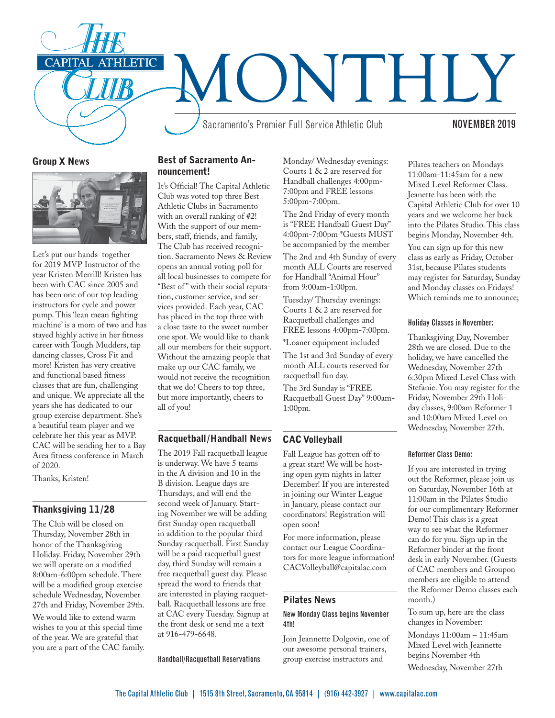

## Group X News



Let's put our hands together for 2019 MVP Instructor of the year Kristen Merrill! Kristen has been with CAC since 2005 and has been one of our top leading instructors for cycle and power pump. This 'lean mean fighting machine' is a mom of two and has stayed highly active in her fitness career with Tough Mudders, tap dancing classes, Cross Fit and more! Kristen has very creative and functional based fitness classes that are fun, challenging and unique. We appreciate all the years she has dedicated to our group exercise department. She's a beautiful team player and we celebrate her this year as MVP. CAC will be sending her to a Bay Area fitness conference in March of 2020.

Thanks, Kristen!

#### Thanksgiving 11/28

The Club will be closed on Thursday, November 28th in honor of the Thanksgiving Holiday. Friday, November 29th we will operate on a modified 8:00am-6:00pm schedule. There will be a modified group exercise schedule Wednesday, November 27th and Friday, November 29th.

We would like to extend warm wishes to you at this special time of the year. We are grateful that you are a part of the CAC family.

# Best of Sacramento Announcement!

It's Official! The Capital Athletic Club was voted top three Best Athletic Clubs in Sacramento with an overall ranking of #2! With the support of our members, staff, friends, and family, The Club has received recognition. Sacramento News & Review opens an annual voting poll for all local businesses to compete for "Best of" with their social reputation, customer service, and services provided. Each year, CAC has placed in the top three with a close taste to the sweet number one spot. We would like to thank all our members for their support. Without the amazing people that make up our CAC family, we would not receive the recognition that we do! Cheers to top three, but more importantly, cheers to all of you!

# Racquetball/Handball News

The 2019 Fall racquetball league is underway. We have 5 teams in the A division and 10 in the B division. League days are Thursdays, and will end the second week of January. Starting November we will be adding first Sunday open racquetball in addition to the popular third Sunday racquetball. First Sunday will be a paid racquetball guest day, third Sunday will remain a free racquetball guest day. Please spread the word to friends that are interested in playing racquetball. Racquetball lessons are free at CAC every Tuesday. Signup at the front desk or send me a text at 916-479-6648.

Handball/Racquetball Reservations

Monday/ Wednesday evenings: Courts 1 & 2 are reserved for Handball challenges 4:00pm-7:00pm and FREE lessons 5:00pm-7:00pm.

The 2nd Friday of every month is "FREE Handball Guest Day" 4:00pm-7:00pm \*Guests MUST be accompanied by the member

The 2nd and 4th Sunday of every month ALL Courts are reserved for Handball "Animal Hour" from 9:00am-1:00pm.

Tuesday/ Thursday evenings: Courts 1 & 2 are reserved for Racquetball challenges and FREE lessons 4:00pm-7:00pm.

\*Loaner equipment included

The 1st and 3rd Sunday of every month ALL courts reserved for racquetball fun day.

The 3rd Sunday is "FREE Racquetball Guest Day" 9:00am-1:00pm.

## CAC Volleyball

Fall League has gotten off to a great start! We will be hosting open gym nights in latter December! If you are interested in joining our Winter League in January, please contact our coordinators! Registration will open soon!

For more information, please contact our League Coordinators for more league information! CACVolleyball@capitalac.com

## Pilates News

#### New Monday Class begins November 4th!

Join Jeannette Dolgovin, one of our awesome personal trainers, group exercise instructors and

Pilates teachers on Mondays 11:00am-11:45am for a new Mixed Level Reformer Class. Jeanette has been with the Capital Athletic Club for over 10 years and we welcome her back into the Pilates Studio. This class begins Monday, November 4th.

You can sign up for this new class as early as Friday, October 31st, because Pilates students may register for Saturday, Sunday and Monday classes on Fridays! Which reminds me to announce;

#### Holiday Classes in November:

Thanksgiving Day, November 28th we are closed. Due to the holiday, we have cancelled the Wednesday, November 27th 6:30pm Mixed Level Class with Stefanie. You may register for the Friday, November 29th Holiday classes, 9:00am Reformer 1 and 10:00am Mixed Level on Wednesday, November 27th.

#### Reformer Class Demo:

If you are interested in trying out the Reformer, please join us on Saturday, November 16th at 11:00am in the Pilates Studio for our complimentary Reformer Demo! This class is a great way to see what the Reformer can do for you. Sign up in the Reformer binder at the front desk in early November. (Guests of CAC members and Groupon members are eligible to attend the Reformer Demo classes each month.)

To sum up, here are the class changes in November:

Mondays 11:00am – 11:45am Mixed Level with Jeannette begins November 4th Wednesday, November 27th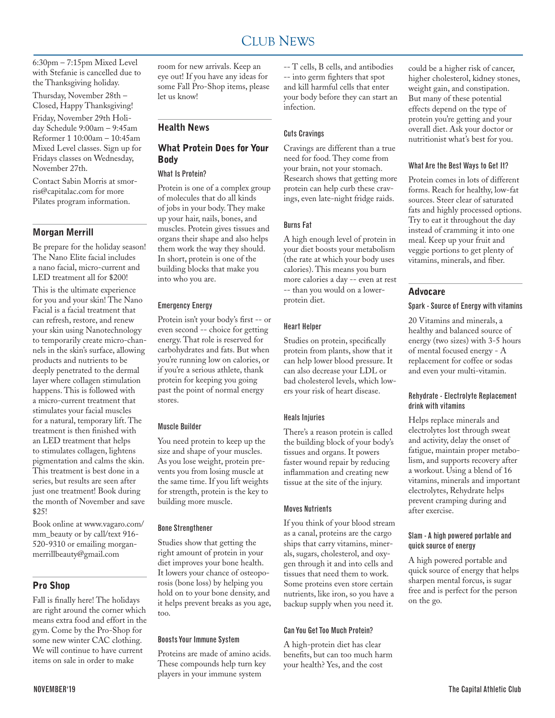#### CLUB NEWS 2000 FOR THE NEWS 2000 FOR THE NEWS 2000 FOR THE NEWS 2000 FOR THE NEWS 2000 FOR THE NEWS 2000 FOR THE NEWS 2000 FOR THE NEWS 2000 FOR THE NEWS 2000 FOR THE NEWS 2000 FOR THE NEWS 2000 FOR THE NEWS 2000 FOR THE N CLUB NEWS

6:30pm – 7:15pm Mixed Level with Stefanie is cancelled due to the Thanksgiving holiday. Thursday, November 28th – Closed, Happy Thanksgiving! Friday, November 29th Holiday Schedule 9:00am – 9:45am Reformer 1 10:00am – 10:45am Mixed Level classes. Sign up for Fridays classes on Wednesday, November 27th.

Contact Sabin Morris at smorris@capitalac.com for more Pilates program information.

#### Morgan Merrill

Be prepare for the holiday season! The Nano Elite facial includes a nano facial, micro-current and LED treatment all for \$200!

This is the ultimate experience for you and your skin! The Nano Facial is a facial treatment that can refresh, restore, and renew your skin using Nanotechnology to temporarily create micro-channels in the skin's surface, allowing products and nutrients to be deeply penetrated to the dermal layer where collagen stimulation happens. This is followed with a micro-current treatment that stimulates your facial muscles for a natural, temporary lift. The treatment is then finished with an LED treatment that helps to stimulates collagen, lightens pigmentation and calms the skin. This treatment is best done in a series, but results are seen after just one treatment! Book during the month of November and save \$25!

Book online at www.vagaro.com/ mm\_beauty or by call/text 916- 520-9310 or emailing morganmerrillbeauty@gmail.com

#### Pro Shop

Fall is finally here! The holidays are right around the corner which means extra food and effort in the gym. Come by the Pro-Shop for some new winter CAC clothing. We will continue to have current items on sale in order to make

room for new arrivals. Keep an eye out! If you have any ideas for some Fall Pro-Shop items, please let us know!

# Health News

## What Protein Does for Your Body

## What Is Protein?

Protein is one of a complex group of molecules that do all kinds of jobs in your body. They make up your hair, nails, bones, and muscles. Protein gives tissues and organs their shape and also helps them work the way they should. In short, protein is one of the building blocks that make you into who you are.

#### Emergency Energy

Protein isn't your body's first -- or even second -- choice for getting energy. That role is reserved for carbohydrates and fats. But when you're running low on calories, or if you're a serious athlete, thank protein for keeping you going past the point of normal energy stores.

#### Muscle Builder

You need protein to keep up the size and shape of your muscles. As you lose weight, protein prevents you from losing muscle at the same time. If you lift weights for strength, protein is the key to building more muscle.

#### Bone Strengthener

Studies show that getting the right amount of protein in your diet improves your bone health. It lowers your chance of osteoporosis (bone loss) by helping you hold on to your bone density, and it helps prevent breaks as you age, too.

## Boosts Your Immune System

Proteins are made of amino acids. These compounds help turn key players in your immune system

-- T cells, B cells, and antibodies -- into germ fighters that spot and kill harmful cells that enter your body before they can start an infection.

#### Cuts Cravings

Cravings are different than a true need for food. They come from your brain, not your stomach. Research shows that getting more protein can help curb these cravings, even late-night fridge raids.

#### Burns Fat

A high enough level of protein in your diet boosts your metabolism (the rate at which your body uses calories). This means you burn more calories a day -- even at rest -- than you would on a lowerprotein diet.

#### Heart Helper

Studies on protein, specifically protein from plants, show that it can help lower blood pressure. It can also decrease your LDL or bad cholesterol levels, which lowers your risk of heart disease.

#### Heals Injuries

There's a reason protein is called the building block of your body's tissues and organs. It powers faster wound repair by reducing inflammation and creating new tissue at the site of the injury.

#### Moves Nutrients

If you think of your blood stream as a canal, proteins are the cargo ships that carry vitamins, minerals, sugars, cholesterol, and oxygen through it and into cells and tissues that need them to work. Some proteins even store certain nutrients, like iron, so you have a backup supply when you need it.

#### Can You Get Too Much Protein?

A high-protein diet has clear benefits, but can too much harm your health? Yes, and the cost

could be a higher risk of cancer, higher cholesterol, kidney stones, weight gain, and constipation. But many of these potential effects depend on the type of protein you're getting and your overall diet. Ask your doctor or nutritionist what's best for you.

#### What Are the Best Ways to Get It?

Protein comes in lots of different forms. Reach for healthy, low-fat sources. Steer clear of saturated fats and highly processed options. Try to eat it throughout the day instead of cramming it into one meal. Keep up your fruit and veggie portions to get plenty of vitamins, minerals, and fiber.

# Advocare

#### Spark - Source of Energy with vitamins

20 Vitamins and minerals, a healthy and balanced source of energy (two sizes) with 3-5 hours of mental focused energy - A replacement for coffee or sodas and even your multi-vitamin.

#### Rehydrate - Electrolyte Replacement drink with vitamins

Helps replace minerals and electrolytes lost through sweat and activity, delay the onset of fatigue, maintain proper metabolism, and supports recovery after a workout. Using a blend of 16 vitamins, minerals and important electrolytes, Rehydrate helps prevent cramping during and after exercise.

#### Slam - A high powered portable and quick source of energy

A high powered portable and quick source of energy that helps sharpen mental forcus, is sugar free and is perfect for the person on the go.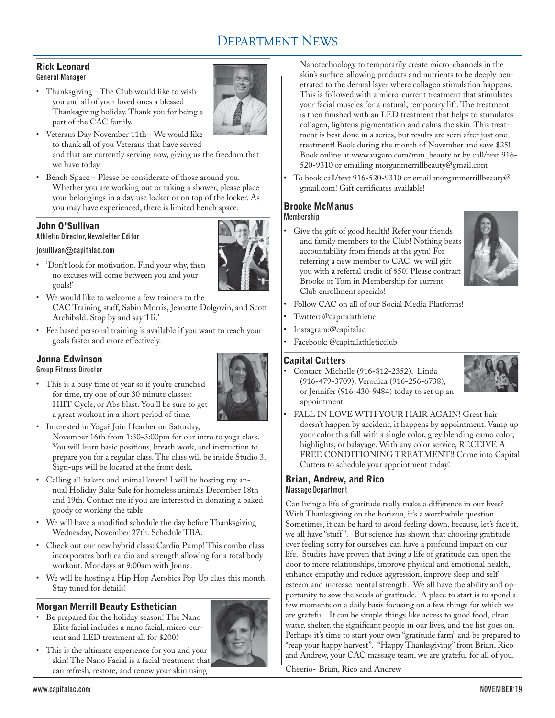# DEPARTMENT NEWS

## Rick Leonard General Manager

• Thanksgiving - The Club would like to wish you and all of your loved ones a blessed Thanksgiving holiday. Thank you for being a part of the CAC family.



- • Veterans Day November 11th We would like to thank all of you Veterans that have served and that are currently serving now, giving us the freedom that we have today.
- • Bench Space Please be considerate of those around you. Whether you are working out or taking a shower, please place your belongings in a day use locker or on top of the locker. As you may have experienced, there is limited bench space.

# John O'Sullivan

# Athletic Director, Newsletter Editor

#### josullivan@capitalac.com

• 'Don't look for motivation. Find your why, then no excuses will come between you and your goals!'

HIIT Cycle, or Abs blast. You'll be sure to get

- • We would like to welcome a few trainers to the CAC Training staff; Sabin Morris, Jeanette Dolgovin, and Scott Archibald. Stop by and say 'Hi.'
- Fee based personal training is available if you want to reach your goals faster and more effectively.

# Jonna Edwinson

Group Fitness Director • This is a busy time of year so if you're crunched for time, try one of our 30 minute classes:



- a great workout in a short period of time. • Interested in Yoga? Join Heather on Saturday, November 16th from 1:30-3:00pm for our intro to yoga class. You will learn basic positions, breath work, and instruction to prepare you for a regular class. The class will be inside Studio 3. Sign-ups will be located at the front desk.
- • Calling all bakers and animal lovers! I will be hosting my annual Holiday Bake Sale for homeless animals December 18th and 19th. Contact me if you are interested in donating a baked goody or working the table.
- • We will have a modified schedule the day before Thanksgiving Wednesday, November 27th. Schedule TBA.
- • Check out our new hybrid class: Cardio Pump! This combo class incorporates both cardio and strength allowing for a total body workout. Mondays at 9:00am with Jonna.
- • We will be hosting a Hip Hop Aerobics Pop Up class this month. Stay tuned for details!

# Morgan Merrill Beauty Esthetician

• Be prepared for the holiday season! The Nano Elite facial includes a nano facial, micro-current and LED treatment all for \$200!



• This is the ultimate experience for you and your skin! The Nano Facial is a facial treatment that can refresh, restore, and renew your skin using

Nanotechnology to temporarily create micro-channels in the skin's surface, allowing products and nutrients to be deeply penetrated to the dermal layer where collagen stimulation happens. This is followed with a micro-current treatment that stimulates your facial muscles for a natural, temporary lift. The treatment is then finished with an LED treatment that helps to stimulates collagen, lightens pigmentation and calms the skin. This treatment is best done in a series, but results are seen after just one treatment! Book during the month of November and save \$25! Book online at www.vagaro.com/mm\_beauty or by call/text 916- 520-9310 or emailing morganmerrillbeauty@gmail.com

To book call/text 916-520-9310 or email morganmerrillbeauty@ gmail.com! Gift certificates available!

#### Brooke McManus **Membershin**

• Give the gift of good health! Refer your friends and family members to the Club! Nothing beats accountability from friends at the gym! For referring a new member to CAC, we will gift you with a referral credit of \$50! Please contract Brooke or Tom in Membership for current Club enrollment specials!



- Follow CAC on all of our Social Media Platforms!
- Twitter: @capitalathletic
- Instagram:@capitalac
- Facebook: @capitalathleticclub

# Capital Cutters

Contact: Michelle (916-812-2352), Linda (916-479-3709), Veronica (916-256-6738), or Jennifer (916-430-9484) today to set up an appointment.



FALL IN LOVE WTH YOUR HAIR AGAIN! Great hair doesn't happen by accident, it happens by appointment. Vamp up your color this fall with a single color, grey blending camo color, highlights, or balayage. With any color service, RECEIVE A FREE CONDITIONING TREATMENT!! Come into Capital Cutters to schedule your appointment today!

# Brian, Andrew, and Rico Massage Department

Can living a life of gratitude really make a difference in our lives? With Thanksgiving on the horizon, it's a worthwhile question. Sometimes, it can be hard to avoid feeling down, because, let's face it, we all have "stuff". But science has shown that choosing gratitude over feeling sorry for ourselves can have a profound impact on our life. Studies have proven that living a life of gratitude can open the door to more relationships, improve physical and emotional health, enhance empathy and reduce aggression, improve sleep and self esteem and increase mental strength. We all have the ability and opportunity to sow the seeds of gratitude. A place to start is to spend a few moments on a daily basis focusing on a few things for which we are grateful. It can be simple things like access to good food, clean water, shelter, the significant people in our lives, and the list goes on. Perhaps it's time to start your own "gratitude farm" and be prepared to "reap your happy harvest". "Happy Thanksgiving" from Brian, Rico and Andrew, your CAC massage team, we are grateful for all of you.

Cheerio~ Brian, Rico and Andrew